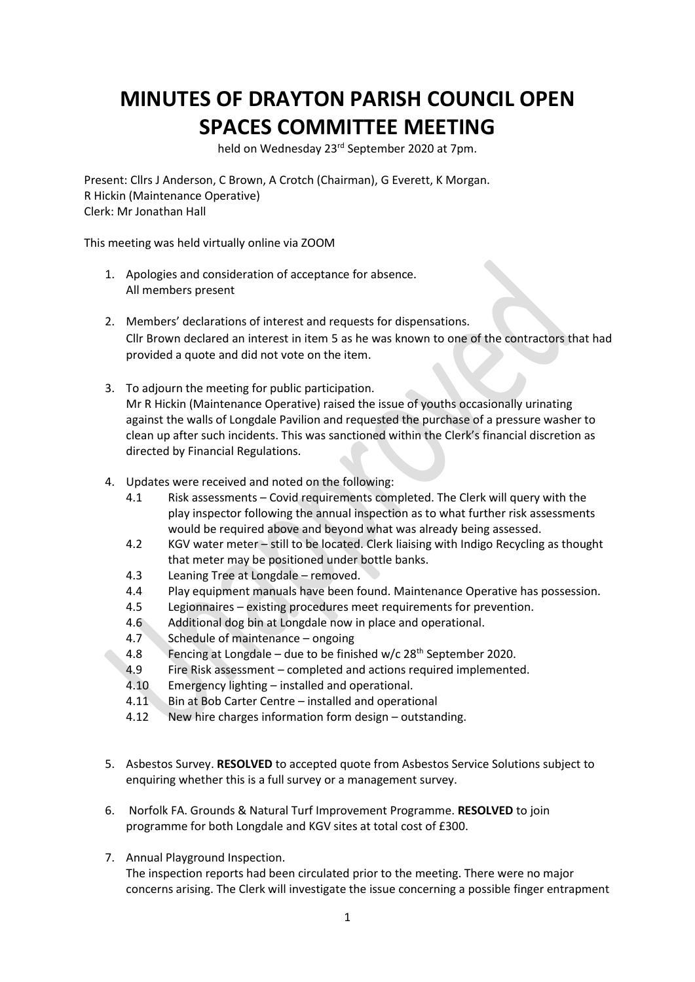## **MINUTES OF DRAYTON PARISH COUNCIL OPEN SPACES COMMITTEE MEETING**

held on Wednesday 23<sup>rd</sup> September 2020 at 7pm.

Present: Cllrs J Anderson, C Brown, A Crotch (Chairman), G Everett, K Morgan. R Hickin (Maintenance Operative) Clerk: Mr Jonathan Hall

This meeting was held virtually online via ZOOM

- 1. Apologies and consideration of acceptance for absence. All members present
- 2. Members' declarations of interest and requests for dispensations. Cllr Brown declared an interest in item 5 as he was known to one of the contractors that had provided a quote and did not vote on the item.
- 3. To adjourn the meeting for public participation. Mr R Hickin (Maintenance Operative) raised the issue of youths occasionally urinating against the walls of Longdale Pavilion and requested the purchase of a pressure washer to clean up after such incidents. This was sanctioned within the Clerk's financial discretion as directed by Financial Regulations.
- 4. Updates were received and noted on the following:
	- 4.1 Risk assessments Covid requirements completed. The Clerk will query with the play inspector following the annual inspection as to what further risk assessments would be required above and beyond what was already being assessed.
	- 4.2 KGV water meter still to be located. Clerk liaising with Indigo Recycling as thought that meter may be positioned under bottle banks.
	- 4.3 Leaning Tree at Longdale removed.
	- 4.4 Play equipment manuals have been found. Maintenance Operative has possession.
	- 4.5 Legionnaires existing procedures meet requirements for prevention.
	- 4.6 Additional dog bin at Longdale now in place and operational.
	- 4.7 Schedule of maintenance ongoing
	- 4.8 Fencing at Longdale due to be finished w/c  $28<sup>th</sup>$  September 2020.
	- 4.9 Fire Risk assessment completed and actions required implemented.
	- 4.10 Emergency lighting installed and operational.
	- 4.11 Bin at Bob Carter Centre installed and operational
	- 4.12 New hire charges information form design outstanding.
- 5. Asbestos Survey. **RESOLVED** to accepted quote from Asbestos Service Solutions subject to enquiring whether this is a full survey or a management survey.
- 6. Norfolk FA. Grounds & Natural Turf Improvement Programme. **RESOLVED** to join programme for both Longdale and KGV sites at total cost of £300.
- 7. Annual Playground Inspection. The inspection reports had been circulated prior to the meeting. There were no major concerns arising. The Clerk will investigate the issue concerning a possible finger entrapment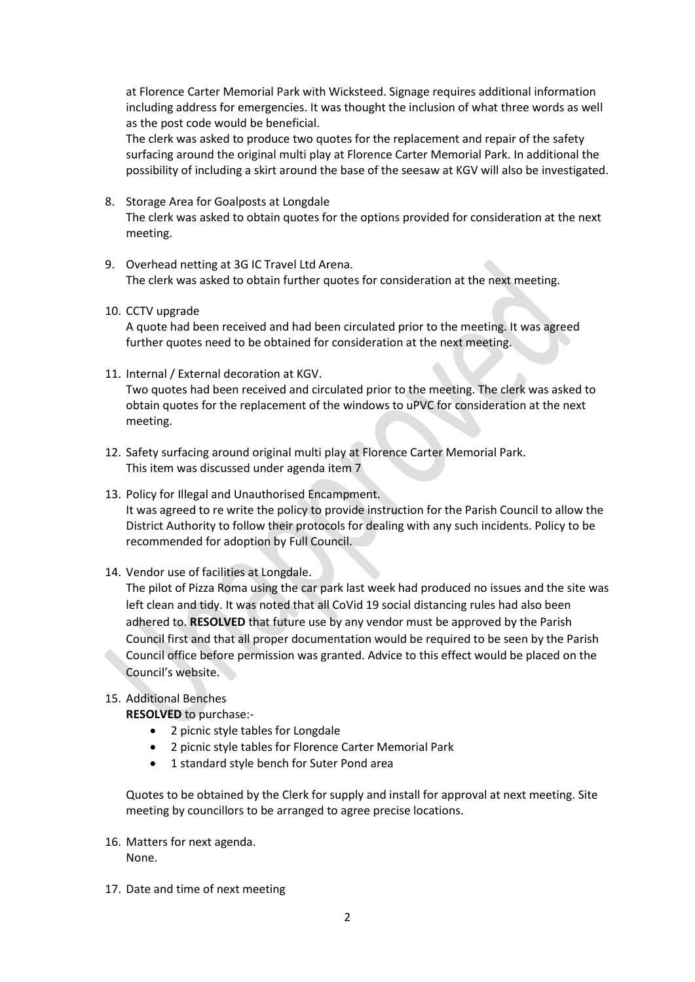at Florence Carter Memorial Park with Wicksteed. Signage requires additional information including address for emergencies. It was thought the inclusion of what three words as well as the post code would be beneficial.

The clerk was asked to produce two quotes for the replacement and repair of the safety surfacing around the original multi play at Florence Carter Memorial Park. In additional the possibility of including a skirt around the base of the seesaw at KGV will also be investigated.

- 8. Storage Area for Goalposts at Longdale The clerk was asked to obtain quotes for the options provided for consideration at the next meeting.
- 9. Overhead netting at 3G IC Travel Ltd Arena. The clerk was asked to obtain further quotes for consideration at the next meeting.
- 10. CCTV upgrade

A quote had been received and had been circulated prior to the meeting. It was agreed further quotes need to be obtained for consideration at the next meeting.

11. Internal / External decoration at KGV.

Two quotes had been received and circulated prior to the meeting. The clerk was asked to obtain quotes for the replacement of the windows to uPVC for consideration at the next meeting.

- 12. Safety surfacing around original multi play at Florence Carter Memorial Park. This item was discussed under agenda item 7
- 13. Policy for Illegal and Unauthorised Encampment. It was agreed to re write the policy to provide instruction for the Parish Council to allow the District Authority to follow their protocols for dealing with any such incidents. Policy to be recommended for adoption by Full Council.
- 14. Vendor use of facilities at Longdale.

The pilot of Pizza Roma using the car park last week had produced no issues and the site was left clean and tidy. It was noted that all CoVid 19 social distancing rules had also been adhered to. **RESOLVED** that future use by any vendor must be approved by the Parish Council first and that all proper documentation would be required to be seen by the Parish Council office before permission was granted. Advice to this effect would be placed on the Council's website.

## 15. Additional Benches

**RESOLVED** to purchase:-

- 2 picnic style tables for Longdale
- 2 picnic style tables for Florence Carter Memorial Park
- 1 standard style bench for Suter Pond area

Quotes to be obtained by the Clerk for supply and install for approval at next meeting. Site meeting by councillors to be arranged to agree precise locations.

- 16. Matters for next agenda. None.
- 17. Date and time of next meeting